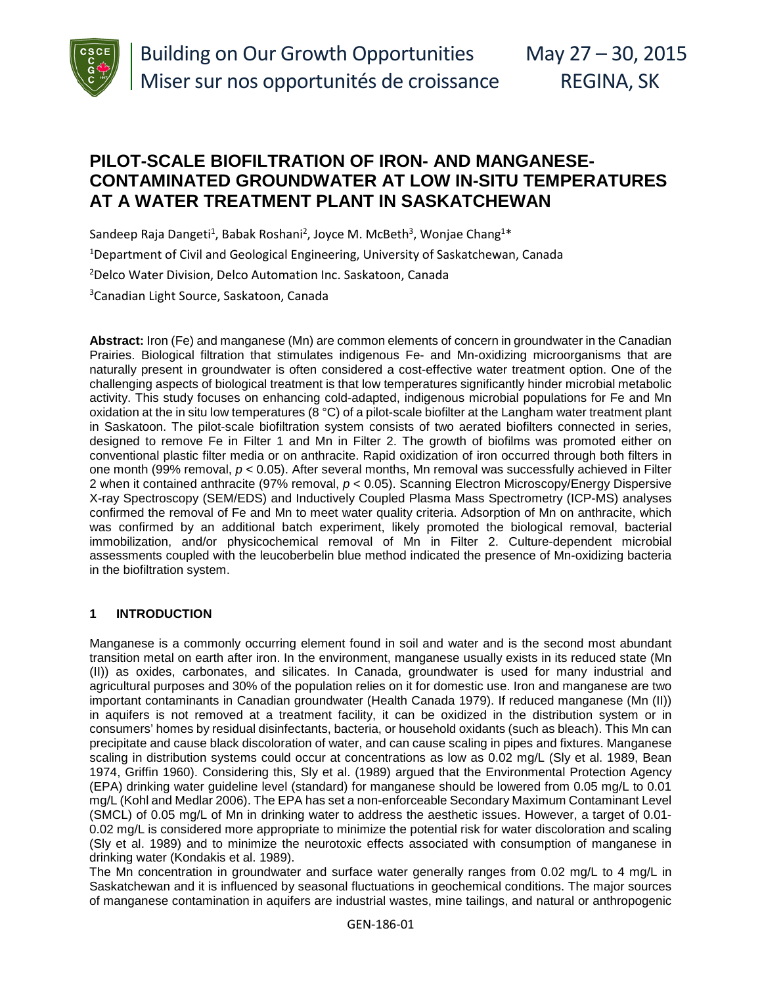

# **PILOT-SCALE BIOFILTRATION OF IRON- AND MANGANESE-CONTAMINATED GROUNDWATER AT LOW IN-SITU TEMPERATURES AT A WATER TREATMENT PLANT IN SASKATCHEWAN**

Sandeep Raja Dangeti<sup>1</sup>, Babak Roshani<sup>2</sup>, Joyce M. McBeth<sup>3</sup>, Wonjae Chang<sup>1\*</sup>

<sup>1</sup>Department of Civil and Geological Engineering, University of Saskatchewan, Canada

2 Delco Water Division, Delco Automation Inc. Saskatoon, Canada

3 Canadian Light Source, Saskatoon, Canada

**Abstract:** Iron (Fe) and manganese (Mn) are common elements of concern in groundwater in the Canadian Prairies. Biological filtration that stimulates indigenous Fe- and Mn-oxidizing microorganisms that are naturally present in groundwater is often considered a cost-effective water treatment option. One of the challenging aspects of biological treatment is that low temperatures significantly hinder microbial metabolic activity. This study focuses on enhancing cold-adapted, indigenous microbial populations for Fe and Mn oxidation at the in situ low temperatures (8 °C) of a pilot-scale biofilter at the Langham water treatment plant in Saskatoon. The pilot-scale biofiltration system consists of two aerated biofilters connected in series, designed to remove Fe in Filter 1 and Mn in Filter 2. The growth of biofilms was promoted either on conventional plastic filter media or on anthracite. Rapid oxidization of iron occurred through both filters in one month (99% removal, *p* < 0.05). After several months, Mn removal was successfully achieved in Filter 2 when it contained anthracite (97% removal, *p* < 0.05). Scanning Electron Microscopy/Energy Dispersive X-ray Spectroscopy (SEM/EDS) and Inductively Coupled Plasma Mass Spectrometry (ICP-MS) analyses confirmed the removal of Fe and Mn to meet water quality criteria. Adsorption of Mn on anthracite, which was confirmed by an additional batch experiment, likely promoted the biological removal, bacterial immobilization, and/or physicochemical removal of Mn in Filter 2. Culture-dependent microbial assessments coupled with the leucoberbelin blue method indicated the presence of Mn-oxidizing bacteria in the biofiltration system.

#### **1 INTRODUCTION**

Manganese is a commonly occurring element found in soil and water and is the second most abundant transition metal on earth after iron. In the environment, manganese usually exists in its reduced state (Mn (II)) as oxides, carbonates, and silicates. In Canada, groundwater is used for many industrial and agricultural purposes and 30% of the population relies on it for domestic use. Iron and manganese are two important contaminants in Canadian groundwater (Health Canada 1979). If reduced manganese (Mn (II)) in aquifers is not removed at a treatment facility, it can be oxidized in the distribution system or in consumers' homes by residual disinfectants, bacteria, or household oxidants (such as bleach). This Mn can precipitate and cause black discoloration of water, and can cause scaling in pipes and fixtures. Manganese scaling in distribution systems could occur at concentrations as low as 0.02 mg/L (Sly et al. 1989, Bean 1974, Griffin 1960). Considering this, Sly et al. (1989) argued that the Environmental Protection Agency (EPA) drinking water guideline level (standard) for manganese should be lowered from 0.05 mg/L to 0.01 mg/L (Kohl and Medlar 2006). The EPA has set a non-enforceable Secondary Maximum Contaminant Level (SMCL) of 0.05 mg/L of Mn in drinking water to address the aesthetic issues. However, a target of 0.01- 0.02 mg/L is considered more appropriate to minimize the potential risk for water discoloration and scaling (Sly et al. 1989) and to minimize the neurotoxic effects associated with consumption of manganese in drinking water (Kondakis et al. 1989).

The Mn concentration in groundwater and surface water generally ranges from 0.02 mg/L to 4 mg/L in Saskatchewan and it is influenced by seasonal fluctuations in geochemical conditions. The major sources of manganese contamination in aquifers are industrial wastes, mine tailings, and natural or anthropogenic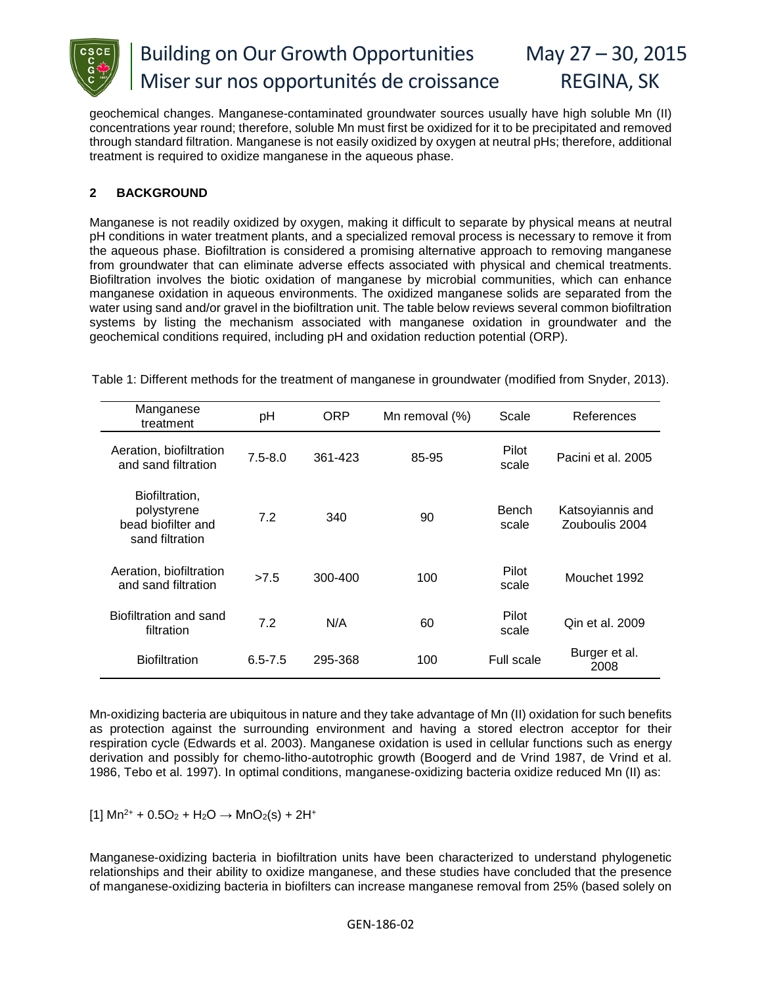

geochemical changes. Manganese-contaminated groundwater sources usually have high soluble Mn (II) concentrations year round; therefore, soluble Mn must first be oxidized for it to be precipitated and removed through standard filtration. Manganese is not easily oxidized by oxygen at neutral pHs; therefore, additional treatment is required to oxidize manganese in the aqueous phase.

### **2 BACKGROUND**

Manganese is not readily oxidized by oxygen, making it difficult to separate by physical means at neutral pH conditions in water treatment plants, and a specialized removal process is necessary to remove it from the aqueous phase. Biofiltration is considered a promising alternative approach to removing manganese from groundwater that can eliminate adverse effects associated with physical and chemical treatments. Biofiltration involves the biotic oxidation of manganese by microbial communities, which can enhance manganese oxidation in aqueous environments. The oxidized manganese solids are separated from the water using sand and/or gravel in the biofiltration unit. The table below reviews several common biofiltration systems by listing the mechanism associated with manganese oxidation in groundwater and the geochemical conditions required, including pH and oxidation reduction potential (ORP).

| Manganese<br>treatment                                                 | pH          | <b>ORP</b> | Mn removal (%) | Scale          | References                         |
|------------------------------------------------------------------------|-------------|------------|----------------|----------------|------------------------------------|
| Aeration, biofiltration<br>and sand filtration                         | $7.5 - 8.0$ | 361-423    | 85-95          | Pilot<br>scale | Pacini et al. 2005                 |
| Biofiltration,<br>polystyrene<br>bead biofilter and<br>sand filtration | 7.2         | 340        | 90             | Bench<br>scale | Katsoyiannis and<br>Zouboulis 2004 |
| Aeration, biofiltration<br>and sand filtration                         | >7.5        | 300-400    | 100            | Pilot<br>scale | Mouchet 1992                       |
| Biofiltration and sand<br>filtration                                   | 7.2         | N/A        | 60             | Pilot<br>scale | Qin et al. 2009                    |
| <b>Biofiltration</b>                                                   | $6.5 - 7.5$ | 295-368    | 100            | Full scale     | Burger et al.<br>2008              |

Table 1: Different methods for the treatment of manganese in groundwater (modified from Snyder, 2013).

Mn-oxidizing bacteria are ubiquitous in nature and they take advantage of Mn (II) oxidation for such benefits as protection against the surrounding environment and having a stored electron acceptor for their respiration cycle (Edwards et al. 2003). Manganese oxidation is used in cellular functions such as energy derivation and possibly for chemo-litho-autotrophic growth (Boogerd and de Vrind 1987, de Vrind et al. 1986, Tebo et al. 1997). In optimal conditions, manganese-oxidizing bacteria oxidize reduced Mn (II) as:

 $[1]$  Mn<sup>2+</sup> + 0.5O<sub>2</sub> + H<sub>2</sub>O  $\rightarrow$  MnO<sub>2</sub>(s) + 2H<sup>+</sup>

Manganese-oxidizing bacteria in biofiltration units have been characterized to understand phylogenetic relationships and their ability to oxidize manganese, and these studies have concluded that the presence of manganese-oxidizing bacteria in biofilters can increase manganese removal from 25% (based solely on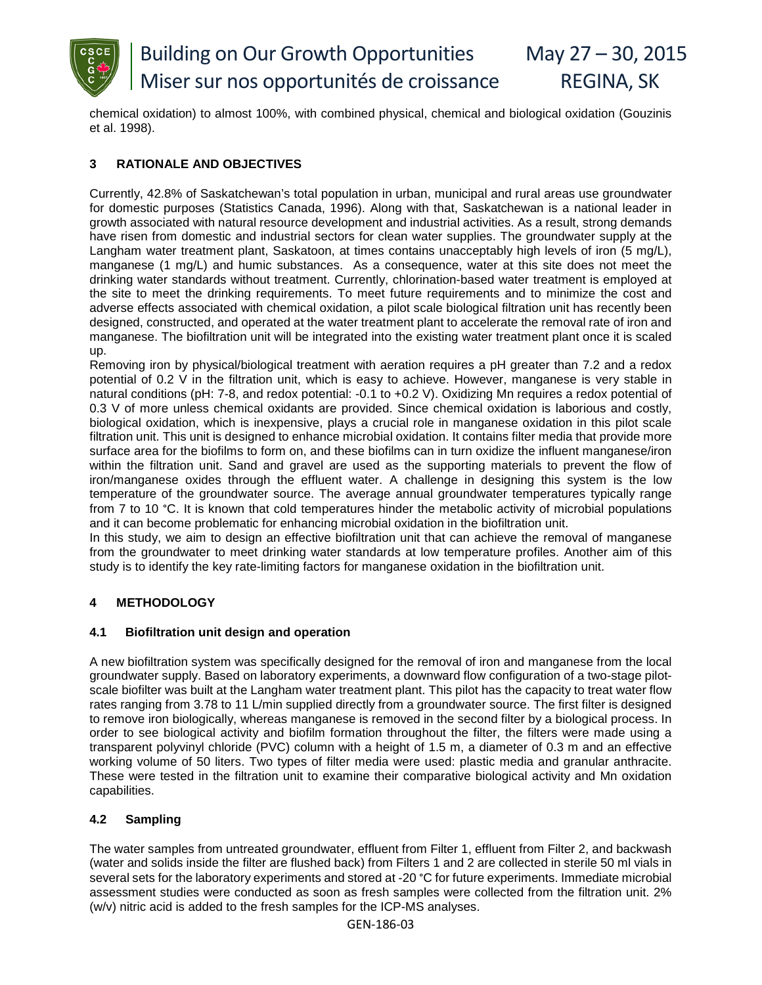

chemical oxidation) to almost 100%, with combined physical, chemical and biological oxidation (Gouzinis et al. 1998).

# **3 RATIONALE AND OBJECTIVES**

Currently, 42.8% of Saskatchewan's total population in urban, municipal and rural areas use groundwater for domestic purposes (Statistics Canada, 1996). Along with that, Saskatchewan is a national leader in growth associated with natural resource development and industrial activities. As a result, strong demands have risen from domestic and industrial sectors for clean water supplies. The groundwater supply at the Langham water treatment plant, Saskatoon, at times contains unacceptably high levels of iron (5 mg/L), manganese (1 mg/L) and humic substances. As a consequence, water at this site does not meet the drinking water standards without treatment. Currently, chlorination-based water treatment is employed at the site to meet the drinking requirements. To meet future requirements and to minimize the cost and adverse effects associated with chemical oxidation, a pilot scale biological filtration unit has recently been designed, constructed, and operated at the water treatment plant to accelerate the removal rate of iron and manganese. The biofiltration unit will be integrated into the existing water treatment plant once it is scaled up.

Removing iron by physical/biological treatment with aeration requires a pH greater than 7.2 and a redox potential of 0.2 V in the filtration unit, which is easy to achieve. However, manganese is very stable in natural conditions (pH: 7-8, and redox potential: -0.1 to +0.2 V). Oxidizing Mn requires a redox potential of 0.3 V of more unless chemical oxidants are provided. Since chemical oxidation is laborious and costly, biological oxidation, which is inexpensive, plays a crucial role in manganese oxidation in this pilot scale filtration unit. This unit is designed to enhance microbial oxidation. It contains filter media that provide more surface area for the biofilms to form on, and these biofilms can in turn oxidize the influent manganese/iron within the filtration unit. Sand and gravel are used as the supporting materials to prevent the flow of iron/manganese oxides through the effluent water. A challenge in designing this system is the low temperature of the groundwater source. The average annual groundwater temperatures typically range from 7 to 10 °C. It is known that cold temperatures hinder the metabolic activity of microbial populations and it can become problematic for enhancing microbial oxidation in the biofiltration unit.

In this study, we aim to design an effective biofiltration unit that can achieve the removal of manganese from the groundwater to meet drinking water standards at low temperature profiles. Another aim of this study is to identify the key rate-limiting factors for manganese oxidation in the biofiltration unit.

# **4 METHODOLOGY**

#### **4.1 Biofiltration unit design and operation**

A new biofiltration system was specifically designed for the removal of iron and manganese from the local groundwater supply. Based on laboratory experiments, a downward flow configuration of a two-stage pilotscale biofilter was built at the Langham water treatment plant. This pilot has the capacity to treat water flow rates ranging from 3.78 to 11 L/min supplied directly from a groundwater source. The first filter is designed to remove iron biologically, whereas manganese is removed in the second filter by a biological process. In order to see biological activity and biofilm formation throughout the filter, the filters were made using a transparent polyvinyl chloride (PVC) column with a height of 1.5 m, a diameter of 0.3 m and an effective working volume of 50 liters. Two types of filter media were used: plastic media and granular anthracite. These were tested in the filtration unit to examine their comparative biological activity and Mn oxidation capabilities.

#### **4.2 Sampling**

The water samples from untreated groundwater, effluent from Filter 1, effluent from Filter 2, and backwash (water and solids inside the filter are flushed back) from Filters 1 and 2 are collected in sterile 50 ml vials in several sets for the laboratory experiments and stored at -20 °C for future experiments. Immediate microbial assessment studies were conducted as soon as fresh samples were collected from the filtration unit. 2% (w/v) nitric acid is added to the fresh samples for the ICP-MS analyses.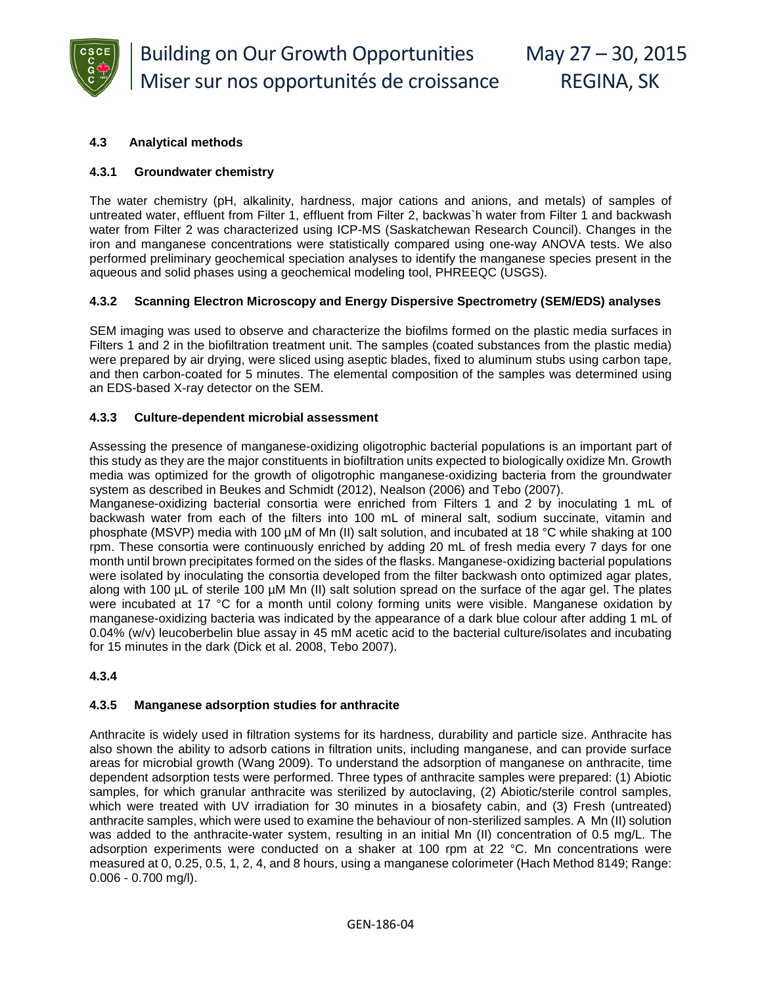

#### **4.3 Analytical methods**

#### **4.3.1 Groundwater chemistry**

The water chemistry (pH, alkalinity, hardness, major cations and anions, and metals) of samples of untreated water, effluent from Filter 1, effluent from Filter 2, backwas`h water from Filter 1 and backwash water from Filter 2 was characterized using ICP-MS (Saskatchewan Research Council). Changes in the iron and manganese concentrations were statistically compared using one-way ANOVA tests. We also performed preliminary geochemical speciation analyses to identify the manganese species present in the aqueous and solid phases using a geochemical modeling tool, PHREEQC (USGS).

#### **4.3.2 Scanning Electron Microscopy and Energy Dispersive Spectrometry (SEM/EDS) analyses**

SEM imaging was used to observe and characterize the biofilms formed on the plastic media surfaces in Filters 1 and 2 in the biofiltration treatment unit. The samples (coated substances from the plastic media) were prepared by air drying, were sliced using aseptic blades, fixed to aluminum stubs using carbon tape, and then carbon-coated for 5 minutes. The elemental composition of the samples was determined using an EDS-based X-ray detector on the SEM.

#### **4.3.3 Culture-dependent microbial assessment**

Assessing the presence of manganese-oxidizing oligotrophic bacterial populations is an important part of this study as they are the major constituents in biofiltration units expected to biologically oxidize Mn. Growth media was optimized for the growth of oligotrophic manganese-oxidizing bacteria from the groundwater system as described in Beukes and Schmidt (2012), Nealson (2006) and Tebo (2007).

Manganese-oxidizing bacterial consortia were enriched from Filters 1 and 2 by inoculating 1 mL of backwash water from each of the filters into 100 mL of mineral salt, sodium succinate, vitamin and phosphate (MSVP) media with 100 µM of Mn (II) salt solution, and incubated at 18 °C while shaking at 100 rpm. These consortia were continuously enriched by adding 20 mL of fresh media every 7 days for one month until brown precipitates formed on the sides of the flasks. Manganese-oxidizing bacterial populations were isolated by inoculating the consortia developed from the filter backwash onto optimized agar plates, along with 100 µL of sterile 100 µM Mn (II) salt solution spread on the surface of the agar gel. The plates were incubated at 17 °C for a month until colony forming units were visible. Manganese oxidation by manganese-oxidizing bacteria was indicated by the appearance of a dark blue colour after adding 1 mL of 0.04% (w/v) leucoberbelin blue assay in 45 mM acetic acid to the bacterial culture/isolates and incubating for 15 minutes in the dark (Dick et al. 2008, Tebo 2007).

#### **4.3.4**

#### **4.3.5 Manganese adsorption studies for anthracite**

Anthracite is widely used in filtration systems for its hardness, durability and particle size. Anthracite has also shown the ability to adsorb cations in filtration units, including manganese, and can provide surface areas for microbial growth (Wang 2009). To understand the adsorption of manganese on anthracite, time dependent adsorption tests were performed. Three types of anthracite samples were prepared: (1) Abiotic samples, for which granular anthracite was sterilized by autoclaving, (2) Abiotic/sterile control samples, which were treated with UV irradiation for 30 minutes in a biosafety cabin, and (3) Fresh (untreated) anthracite samples, which were used to examine the behaviour of non-sterilized samples. A Mn (II) solution was added to the anthracite-water system, resulting in an initial Mn (II) concentration of 0.5 mg/L. The adsorption experiments were conducted on a shaker at 100 rpm at 22 °C. Mn concentrations were measured at 0, 0.25, 0.5, 1, 2, 4, and 8 hours, using a manganese colorimeter (Hach Method 8149; Range: 0.006 - 0.700 mg/l).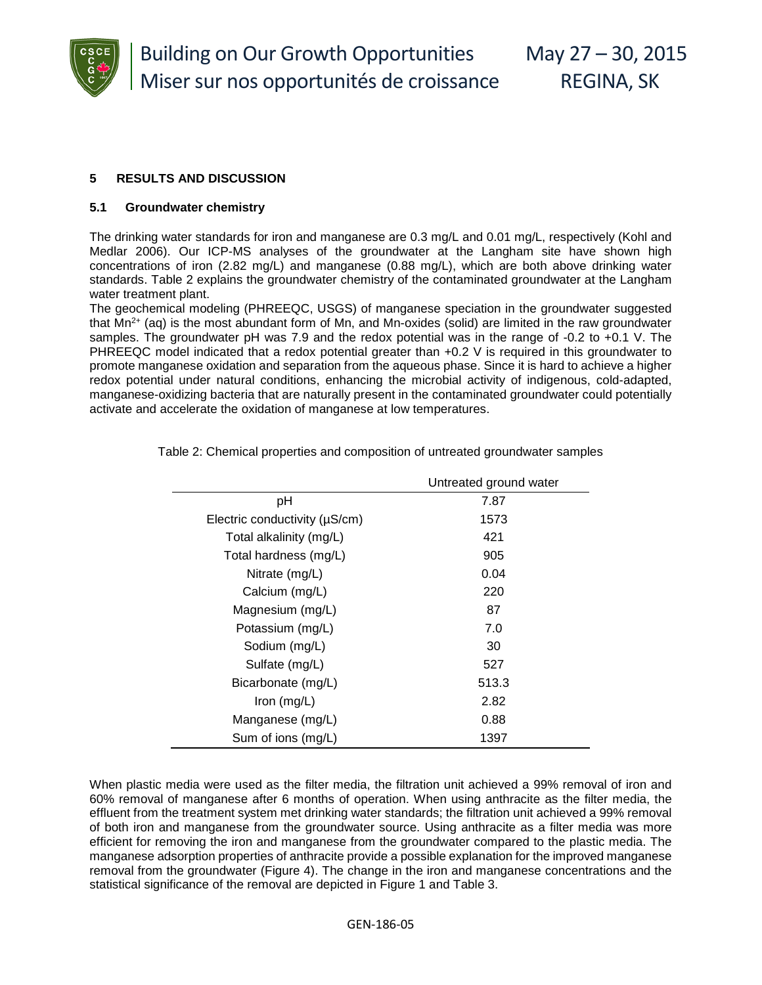

### **5 RESULTS AND DISCUSSION**

#### **5.1 Groundwater chemistry**

The drinking water standards for iron and manganese are 0.3 mg/L and 0.01 mg/L, respectively (Kohl and Medlar 2006). Our ICP-MS analyses of the groundwater at the Langham site have shown high concentrations of iron (2.82 mg/L) and manganese (0.88 mg/L), which are both above drinking water standards. Table 2 explains the groundwater chemistry of the contaminated groundwater at the Langham water treatment plant.

The geochemical modeling (PHREEQC, USGS) of manganese speciation in the groundwater suggested that  $Mn^{2+}$  (aq) is the most abundant form of Mn, and Mn-oxides (solid) are limited in the raw groundwater samples. The groundwater pH was 7.9 and the redox potential was in the range of -0.2 to +0.1 V. The PHREEQC model indicated that a redox potential greater than +0.2 V is required in this groundwater to promote manganese oxidation and separation from the aqueous phase. Since it is hard to achieve a higher redox potential under natural conditions, enhancing the microbial activity of indigenous, cold-adapted, manganese-oxidizing bacteria that are naturally present in the contaminated groundwater could potentially activate and accelerate the oxidation of manganese at low temperatures.

| Untreated ground water |  |  |
|------------------------|--|--|
| 7.87                   |  |  |
| 1573                   |  |  |
| 421                    |  |  |
| 905                    |  |  |
| 0.04                   |  |  |
| 220                    |  |  |
| 87                     |  |  |
| 7.0                    |  |  |
| 30                     |  |  |
| 527                    |  |  |
| 513.3                  |  |  |
| 2.82                   |  |  |
| 0.88                   |  |  |
| 1397                   |  |  |
|                        |  |  |

Table 2: Chemical properties and composition of untreated groundwater samples

When plastic media were used as the filter media, the filtration unit achieved a 99% removal of iron and 60% removal of manganese after 6 months of operation. When using anthracite as the filter media, the effluent from the treatment system met drinking water standards; the filtration unit achieved a 99% removal of both iron and manganese from the groundwater source. Using anthracite as a filter media was more efficient for removing the iron and manganese from the groundwater compared to the plastic media. The manganese adsorption properties of anthracite provide a possible explanation for the improved manganese removal from the groundwater (Figure 4). The change in the iron and manganese concentrations and the statistical significance of the removal are depicted in Figure 1 and Table 3.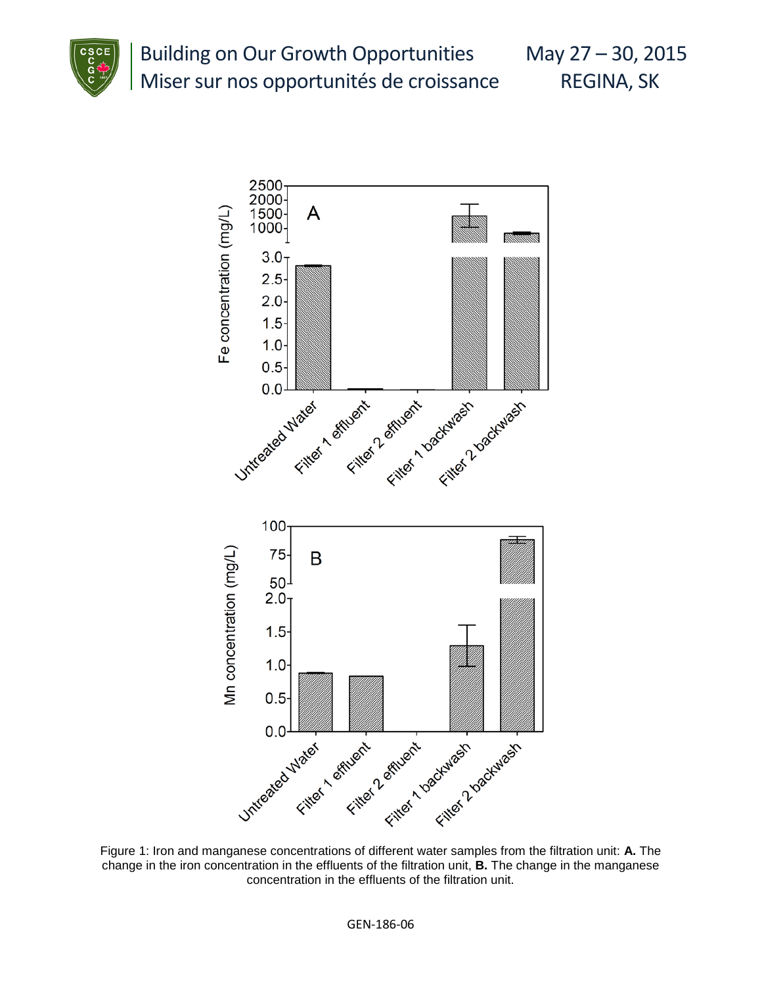



Figure 1: Iron and manganese concentrations of different water samples from the filtration unit: **A.** The change in the iron concentration in the effluents of the filtration unit, **B.** The change in the manganese concentration in the effluents of the filtration unit.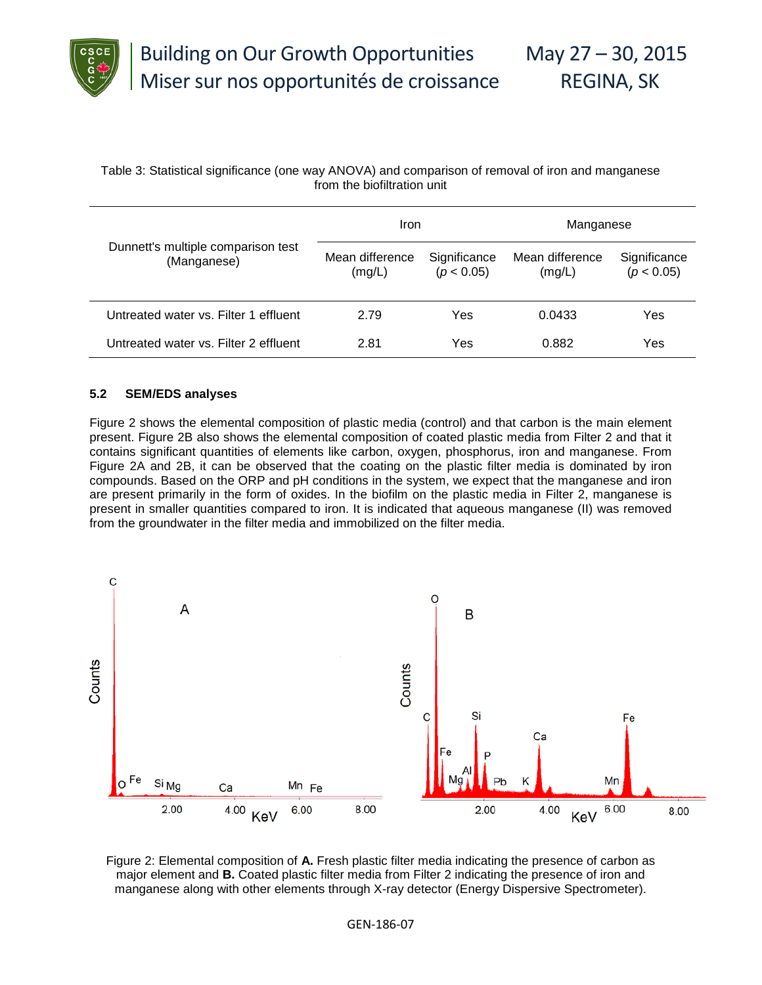

#### Table 3: Statistical significance (one way ANOVA) and comparison of removal of iron and manganese from the biofiltration unit

|                                                   | Iron                      |                            | Manganese                 |                            |
|---------------------------------------------------|---------------------------|----------------------------|---------------------------|----------------------------|
| Dunnett's multiple comparison test<br>(Manganese) | Mean difference<br>(mg/L) | Significance<br>(p < 0.05) | Mean difference<br>(mg/L) | Significance<br>(p < 0.05) |
| Untreated water vs. Filter 1 effluent             | 2.79                      | Yes                        | 0.0433                    | Yes                        |
| Untreated water vs. Filter 2 effluent             | 2.81                      | Yes                        | 0.882                     | Yes                        |

#### **5.2 SEM/EDS analyses**

Figure 2 shows the elemental composition of plastic media (control) and that carbon is the main element present. Figure 2B also shows the elemental composition of coated plastic media from Filter 2 and that it contains significant quantities of elements like carbon, oxygen, phosphorus, iron and manganese. From Figure 2A and 2B, it can be observed that the coating on the plastic filter media is dominated by iron compounds. Based on the ORP and pH conditions in the system, we expect that the manganese and iron are present primarily in the form of oxides. In the biofilm on the plastic media in Filter 2, manganese is present in smaller quantities compared to iron. It is indicated that aqueous manganese (II) was removed from the groundwater in the filter media and immobilized on the filter media.



Figure 2: Elemental composition of **A.** Fresh plastic filter media indicating the presence of carbon as major element and **B.** Coated plastic filter media from Filter 2 indicating the presence of iron and manganese along with other elements through X-ray detector (Energy Dispersive Spectrometer).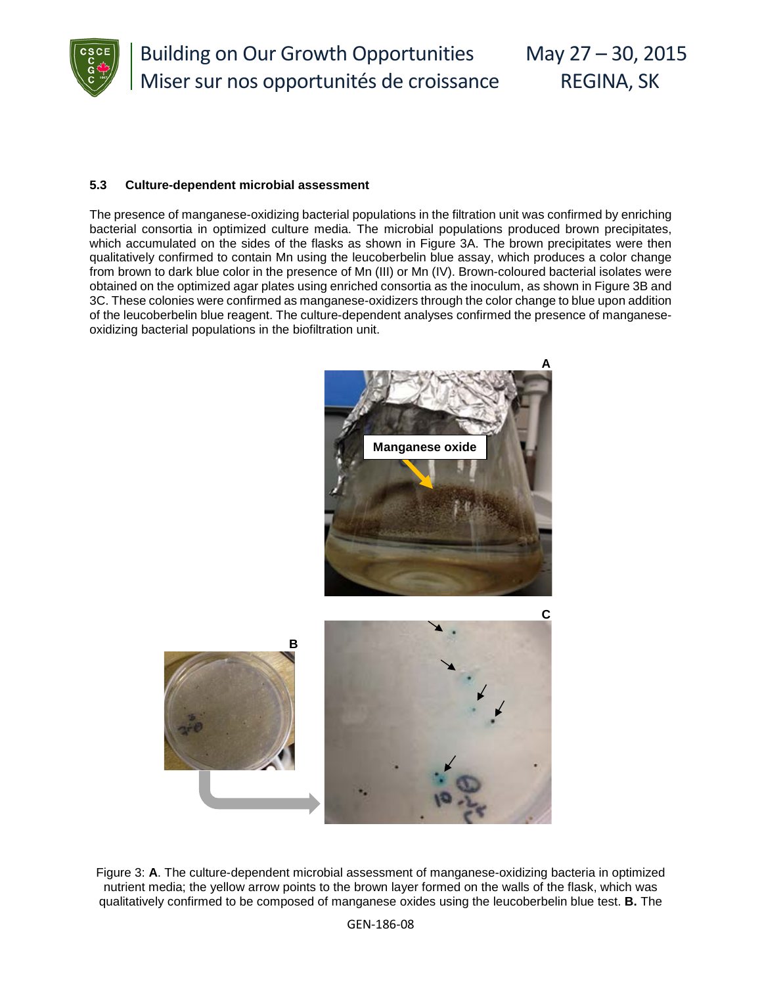

#### **5.3 Culture-dependent microbial assessment**

The presence of manganese-oxidizing bacterial populations in the filtration unit was confirmed by enriching bacterial consortia in optimized culture media. The microbial populations produced brown precipitates, which accumulated on the sides of the flasks as shown in Figure 3A. The brown precipitates were then qualitatively confirmed to contain Mn using the leucoberbelin blue assay, which produces a color change from brown to dark blue color in the presence of Mn (III) or Mn (IV). Brown-coloured bacterial isolates were obtained on the optimized agar plates using enriched consortia as the inoculum, as shown in Figure 3B and 3C. These colonies were confirmed as manganese-oxidizers through the color change to blue upon addition of the leucoberbelin blue reagent. The culture-dependent analyses confirmed the presence of manganeseoxidizing bacterial populations in the biofiltration unit.



Figure 3: **A**. The culture-dependent microbial assessment of manganese-oxidizing bacteria in optimized nutrient media; the yellow arrow points to the brown layer formed on the walls of the flask, which was qualitatively confirmed to be composed of manganese oxides using the leucoberbelin blue test. **B.** The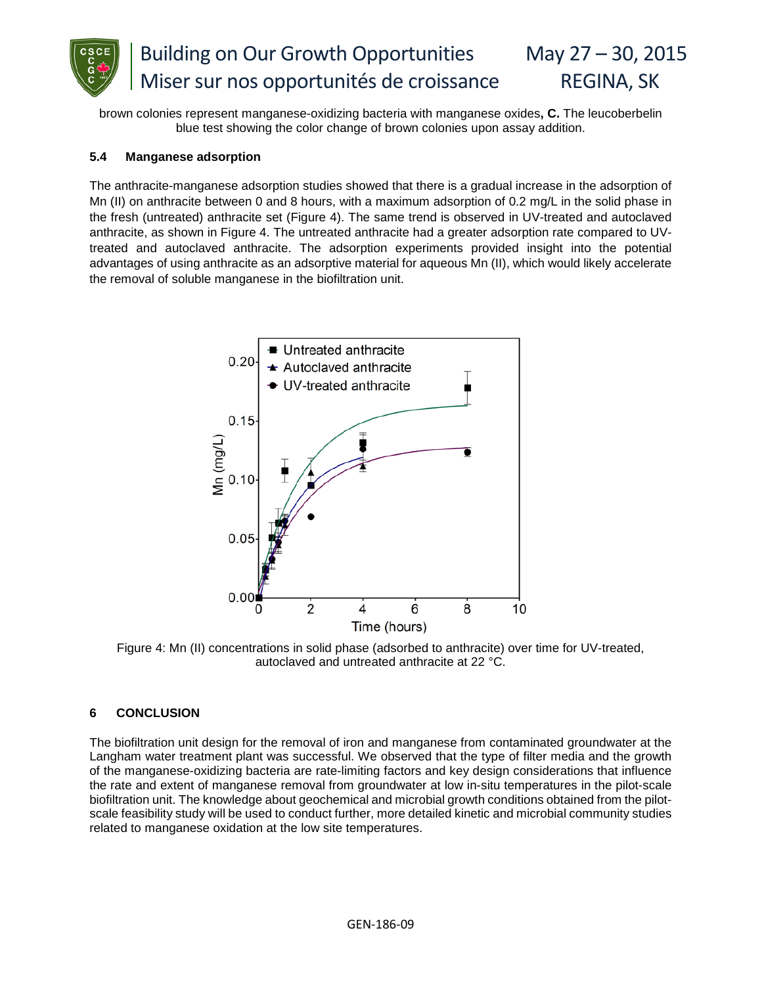

brown colonies represent manganese-oxidizing bacteria with manganese oxides**, C.** The leucoberbelin blue test showing the color change of brown colonies upon assay addition.

#### **5.4 Manganese adsorption**

The anthracite-manganese adsorption studies showed that there is a gradual increase in the adsorption of Mn (II) on anthracite between 0 and 8 hours, with a maximum adsorption of 0.2 mg/L in the solid phase in the fresh (untreated) anthracite set (Figure 4). The same trend is observed in UV-treated and autoclaved anthracite, as shown in Figure 4. The untreated anthracite had a greater adsorption rate compared to UVtreated and autoclaved anthracite. The adsorption experiments provided insight into the potential advantages of using anthracite as an adsorptive material for aqueous Mn (II), which would likely accelerate the removal of soluble manganese in the biofiltration unit.



Figure 4: Mn (II) concentrations in solid phase (adsorbed to anthracite) over time for UV-treated, autoclaved and untreated anthracite at 22 °C.

#### **6 CONCLUSION**

The biofiltration unit design for the removal of iron and manganese from contaminated groundwater at the Langham water treatment plant was successful. We observed that the type of filter media and the growth of the manganese-oxidizing bacteria are rate-limiting factors and key design considerations that influence the rate and extent of manganese removal from groundwater at low in-situ temperatures in the pilot-scale biofiltration unit. The knowledge about geochemical and microbial growth conditions obtained from the pilotscale feasibility study will be used to conduct further, more detailed kinetic and microbial community studies related to manganese oxidation at the low site temperatures.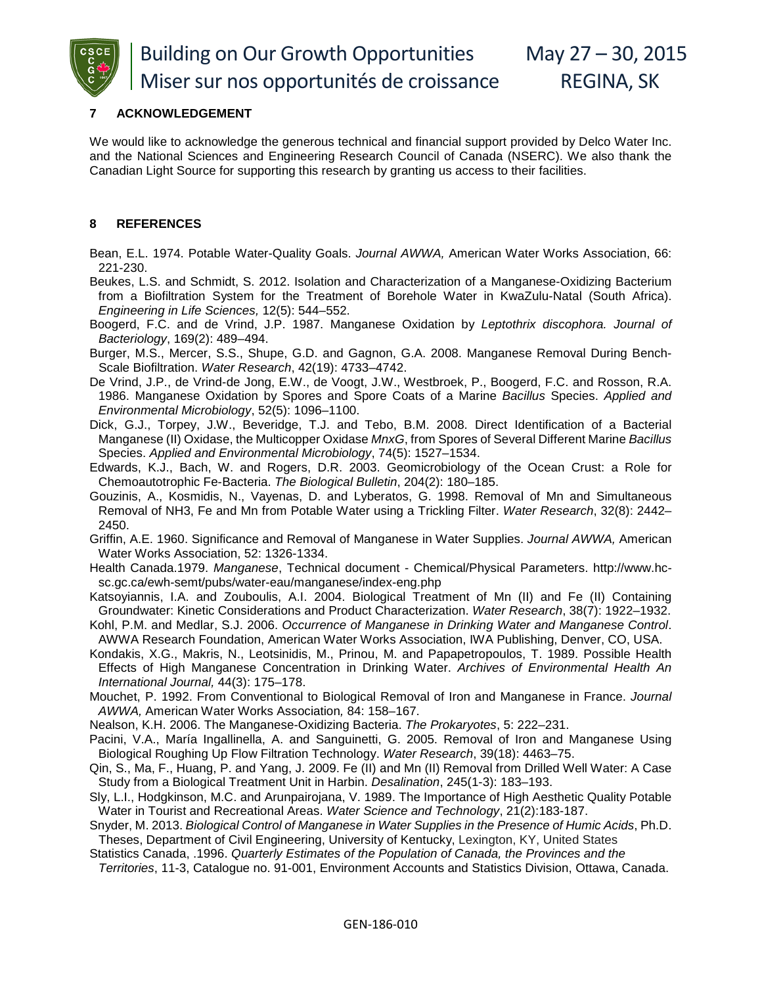

# **7 ACKNOWLEDGEMENT**

We would like to acknowledge the generous technical and financial support provided by Delco Water Inc. and the National Sciences and Engineering Research Council of Canada (NSERC). We also thank the Canadian Light Source for supporting this research by granting us access to their facilities.

#### **8 REFERENCES**

Bean, E.L. 1974. Potable Water-Quality Goals. *Journal AWWA,* American Water Works Association, 66: 221-230.

Beukes, L.S. and Schmidt, S. 2012. Isolation and Characterization of a Manganese-Oxidizing Bacterium from a Biofiltration System for the Treatment of Borehole Water in KwaZulu-Natal (South Africa). *Engineering in Life Sciences,* 12(5): 544–552.

Boogerd, F.C. and de Vrind, J.P. 1987. Manganese Oxidation by *Leptothrix discophora. Journal of Bacteriology*, 169(2): 489–494.

Burger, M.S., Mercer, S.S., Shupe, G.D. and Gagnon, G.A. 2008. Manganese Removal During Bench-Scale Biofiltration. *Water Research*, 42(19): 4733–4742.

- De Vrind, J.P., de Vrind-de Jong, E.W., de Voogt, J.W., Westbroek, P., Boogerd, F.C. and Rosson, R.A. 1986. Manganese Oxidation by Spores and Spore Coats of a Marine *Bacillus* Species. *Applied and Environmental Microbiology*, 52(5): 1096–1100.
- Dick, G.J., Torpey, J.W., Beveridge, T.J. and Tebo, B.M. 2008. Direct Identification of a Bacterial Manganese (II) Oxidase, the Multicopper Oxidase *MnxG*, from Spores of Several Different Marine *Bacillus* Species. *Applied and Environmental Microbiology*, 74(5): 1527–1534.
- Edwards, K.J., Bach, W. and Rogers, D.R. 2003. Geomicrobiology of the Ocean Crust: a Role for Chemoautotrophic Fe-Bacteria. *The Biological Bulletin*, 204(2): 180–185.
- Gouzinis, A., Kosmidis, N., Vayenas, D. and Lyberatos, G. 1998. Removal of Mn and Simultaneous Removal of NH3, Fe and Mn from Potable Water using a Trickling Filter. *Water Research*, 32(8): 2442– 2450.
- Griffin, A.E. 1960. Significance and Removal of Manganese in Water Supplies. *Journal AWWA,* American Water Works Association, 52: 1326-1334.
- Health Canada.1979. *Manganese*, Technical document Chemical/Physical Parameters. http://www.hcsc.gc.ca/ewh-semt/pubs/water-eau/manganese/index-eng.php

Katsoyiannis, I.A. and Zouboulis, A.I. 2004. Biological Treatment of Mn (II) and Fe (II) Containing Groundwater: Kinetic Considerations and Product Characterization. *Water Research*, 38(7): 1922–1932.

- Kohl, P.M. and Medlar, S.J. 2006. *Occurrence of Manganese in Drinking Water and Manganese Control*. AWWA Research Foundation, American Water Works Association, IWA Publishing, Denver, CO, USA.
- Kondakis, X.G., Makris, N., Leotsinidis, M., Prinou, M. and Papapetropoulos, T. 1989. Possible Health Effects of High Manganese Concentration in Drinking Water. *Archives of Environmental Health An International Journal,* 44(3): 175–178.
- Mouchet, P. 1992. From Conventional to Biological Removal of Iron and Manganese in France. *Journal AWWA,* American Water Works Association*,* 84: 158–167.

Nealson, K.H. 2006. The Manganese-Oxidizing Bacteria. *The Prokaryotes*, 5: 222–231.

- Pacini, V.A., María Ingallinella, A. and Sanguinetti, G. 2005. Removal of Iron and Manganese Using Biological Roughing Up Flow Filtration Technology. *Water Research*, 39(18): 4463–75.
- Qin, S., Ma, F., Huang, P. and Yang, J. 2009. Fe (II) and Mn (II) Removal from Drilled Well Water: A Case Study from a Biological Treatment Unit in Harbin. *Desalination*, 245(1-3): 183–193.
- Sly, L.I., Hodgkinson, M.C. and Arunpairojana, V. 1989. The Importance of High Aesthetic Quality Potable Water in Tourist and Recreational Areas. *Water Science and Technology*, 21(2):183-187.
- Snyder, M. 2013. *Biological Control of Manganese in Water Supplies in the Presence of Humic Acids*, Ph.D. Theses, Department of Civil Engineering, University of Kentucky, Lexington, KY, United States
- Statistics Canada, .1996. *Quarterly Estimates of the Population of Canada, the Provinces and the Territories*, 11-3, Catalogue no. 91-001, Environment Accounts and Statistics Division, Ottawa, Canada.
	- GEN-186-010